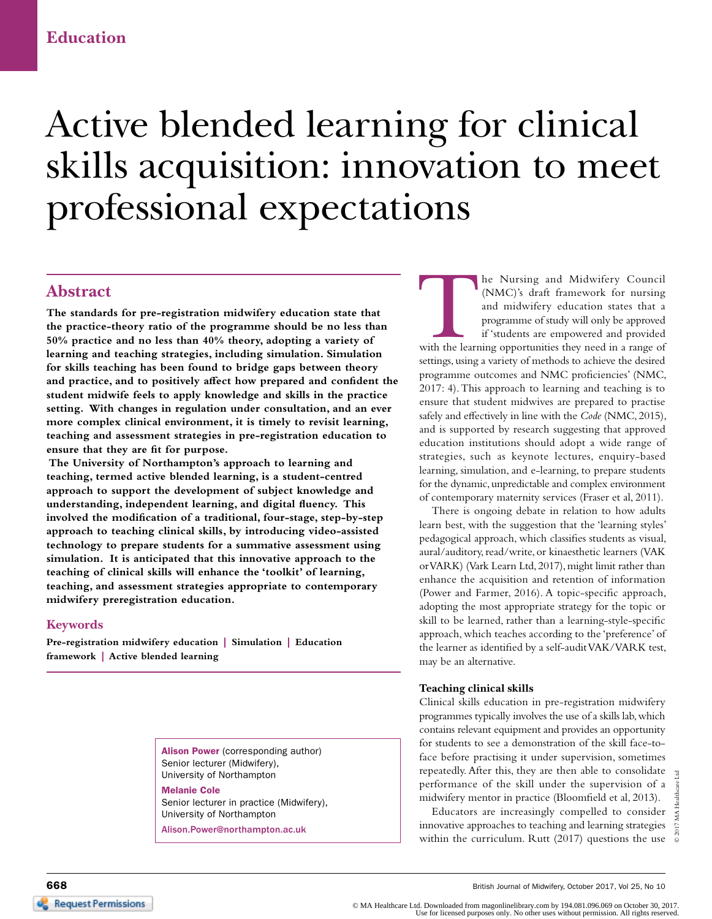# Active blended learning for clinical skills acquisition: innovation to meet professional expectations

### **Abstract**

**The standards for pre-registration midwifery education state that the practice-theory ratio of the programme should be no less than 50% practice and no less than 40% theory, adopting a variety of learning and teaching strategies, including simulation. Simulation for skills teaching has been found to bridge gaps between theory and practice, and to positively affect how prepared and confident the student midwife feels to apply knowledge and skills in the practice setting. With changes in regulation under consultation, and an ever more complex clinical environment, it is timely to revisit learning, teaching and assessment strategies in pre-registration education to ensure that they are fit for purpose.**

 **The University of Northampton's approach to learning and teaching, termed active blended learning, is a student-centred approach to support the development of subject knowledge and understanding, independent learning, and digital fluency. This involved the modification of a traditional, four-stage, step-by-step approach to teaching clinical skills, by introducing video-assisted technology to prepare students for a summative assessment using simulation. It is anticipated that this innovative approach to the teaching of clinical skills will enhance the 'toolkit' of learning, teaching, and assessment strategies appropriate to contemporary midwifery preregistration education.** 

#### **Keywords**

**Pre-registration midwifery education** | **Simulation** | **Education framework** | **Active blended learning**

The Nursing and Midwifery Council (NMC)'s draft framework for nursing and midwifery education states that a programme of study will only be approved if 'students are empowered and provided with the learning opportunities t (NMC)'s draft framework for nursing and midwifery education states that a programme of study will only be approved if 'students are empowered and provided settings, using a variety of methods to achieve the desired programme outcomes and NMC proficiencies' (NMC, 2017: 4). This approach to learning and teaching is to ensure that student midwives are prepared to practise safely and effectively in line with the *Code* (NMC, 2015), and is supported by research suggesting that approved education institutions should adopt a wide range of strategies, such as keynote lectures, enquiry-based learning, simulation, and e-learning, to prepare students for the dynamic, unpredictable and complex environment of contemporary maternity services (Fraser et al, 2011).

There is ongoing debate in relation to how adults learn best, with the suggestion that the 'learning styles' pedagogical approach, which classifies students as visual, aural/auditory, read/write, or kinaesthetic learners (VAK or VARK) (Vark Learn Ltd, 2017), might limit rather than enhance the acquisition and retention of information (Power and Farmer, 2016). A topic-specific approach, adopting the most appropriate strategy for the topic or skill to be learned, rather than a learning-style-specific approach, which teaches according to the 'preference' of the learner as identified by a self-audit VAK/VARK test, may be an alternative.

#### **Teaching clinical skills**

Clinical skills education in pre-registration midwifery programmes typically involves the use of a skills lab, which contains relevant equipment and provides an opportunity for students to see a demonstration of the skill face-toface before practising it under supervision, sometimes repeatedly. After this, they are then able to consolidate performance of the skill under the supervision of a midwifery mentor in practice (Bloomfield et al, 2013).

Educators are increasingly compelled to consider innovative approaches to teaching and learning strategies within the curriculum. Rutt (2017) questions the use

Alison Power (corresponding author) Senior lecturer (Midwifery), University of Northampton

#### Melanie Cole

Senior lecturer in practice (Midwifery), University of Northampton

Alison.Power@northampton.ac.uk

**668** British Journal of Midwifery, October 2017, Vol 25, No 10

© MA Healthcare Ltd. Downloaded from magonlinelibrary.com by 194.081.096.069 on October 30, 2017. Use for licensed purposes only. No other uses without permission. All rights reserved.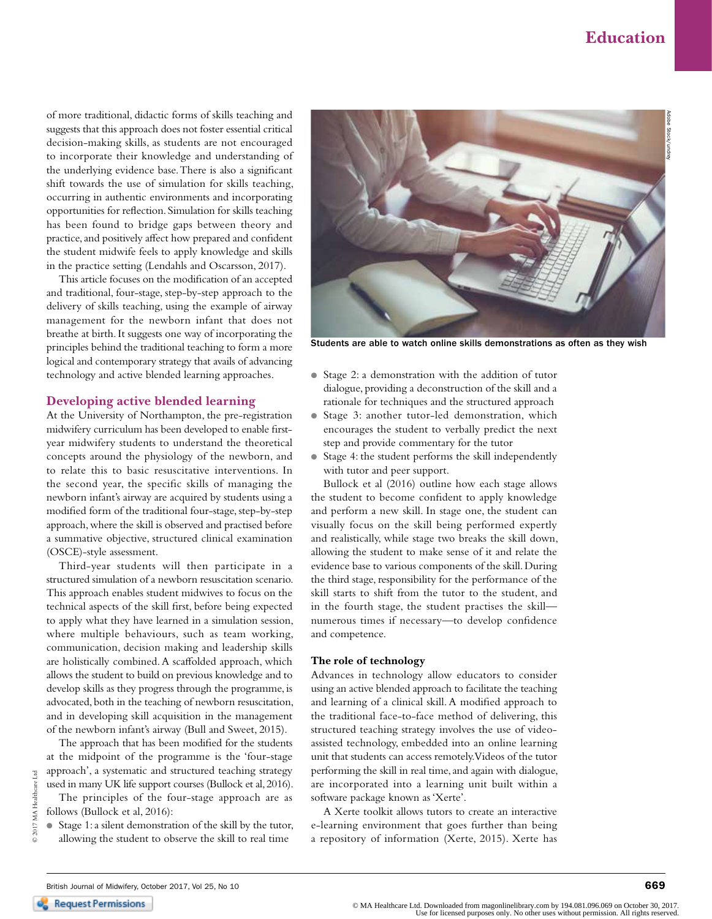of more traditional, didactic forms of skills teaching and suggests that this approach does not foster essential critical decision-making skills, as students are not encouraged to incorporate their knowledge and understanding of the underlying evidence base. There is also a significant shift towards the use of simulation for skills teaching, occurring in authentic environments and incorporating opportunities for reflection. Simulation for skills teaching has been found to bridge gaps between theory and practice, and positively affect how prepared and confident the student midwife feels to apply knowledge and skills in the practice setting (Lendahls and Oscarsson, 2017).

This article focuses on the modification of an accepted and traditional, four-stage, step-by-step approach to the delivery of skills teaching, using the example of airway management for the newborn infant that does not breathe at birth. It suggests one way of incorporating the principles behind the traditional teaching to form a more logical and contemporary strategy that avails of advancing technology and active blended learning approaches.

#### **Developing active blended learning**

At the University of Northampton, the pre-registration midwifery curriculum has been developed to enable firstyear midwifery students to understand the theoretical concepts around the physiology of the newborn, and to relate this to basic resuscitative interventions. In the second year, the specific skills of managing the newborn infant's airway are acquired by students using a modified form of the traditional four-stage, step-by-step approach, where the skill is observed and practised before a summative objective, structured clinical examination (OSCE)-style assessment.

Third-year students will then participate in a structured simulation of a newborn resuscitation scenario. This approach enables student midwives to focus on the technical aspects of the skill first, before being expected to apply what they have learned in a simulation session, where multiple behaviours, such as team working, communication, decision making and leadership skills are holistically combined. A scaffolded approach, which allows the student to build on previous knowledge and to develop skills as they progress through the programme, is advocated, both in the teaching of newborn resuscitation, and in developing skill acquisition in the management of the newborn infant's airway (Bull and Sweet, 2015).

The approach that has been modified for the students at the midpoint of the programme is the 'four-stage approach', a systematic and structured teaching strategy used in many UK life support courses (Bullock et al, 2016).

The principles of the four-stage approach are as follows (Bullock et al, 2016):

● Stage 1: a silent demonstration of the skill by the tutor, allowing the student to observe the skill to real time



Students are able to watch online skills demonstrations as often as they wish

- Stage 2: a demonstration with the addition of tutor dialogue, providing a deconstruction of the skill and a rationale for techniques and the structured approach
- Stage 3: another tutor-led demonstration, which encourages the student to verbally predict the next step and provide commentary for the tutor
- Stage 4: the student performs the skill independently with tutor and peer support.

Bullock et al (2016) outline how each stage allows the student to become confident to apply knowledge and perform a new skill. In stage one, the student can visually focus on the skill being performed expertly and realistically, while stage two breaks the skill down, allowing the student to make sense of it and relate the evidence base to various components of the skill. During the third stage, responsibility for the performance of the skill starts to shift from the tutor to the student, and in the fourth stage, the student practises the skill numerous times if necessary—to develop confidence and competence.

#### **The role of technology**

Advances in technology allow educators to consider using an active blended approach to facilitate the teaching and learning of a clinical skill. A modified approach to the traditional face-to-face method of delivering, this structured teaching strategy involves the use of videoassisted technology, embedded into an online learning unit that students can access remotely. Videos of the tutor performing the skill in real time, and again with dialogue, are incorporated into a learning unit built within a software package known as 'Xerte'.

A Xerte toolkit allows tutors to create an interactive e-learning environment that goes further than being a repository of information (Xerte, 2015). Xerte has

 $\mathbb{E}$